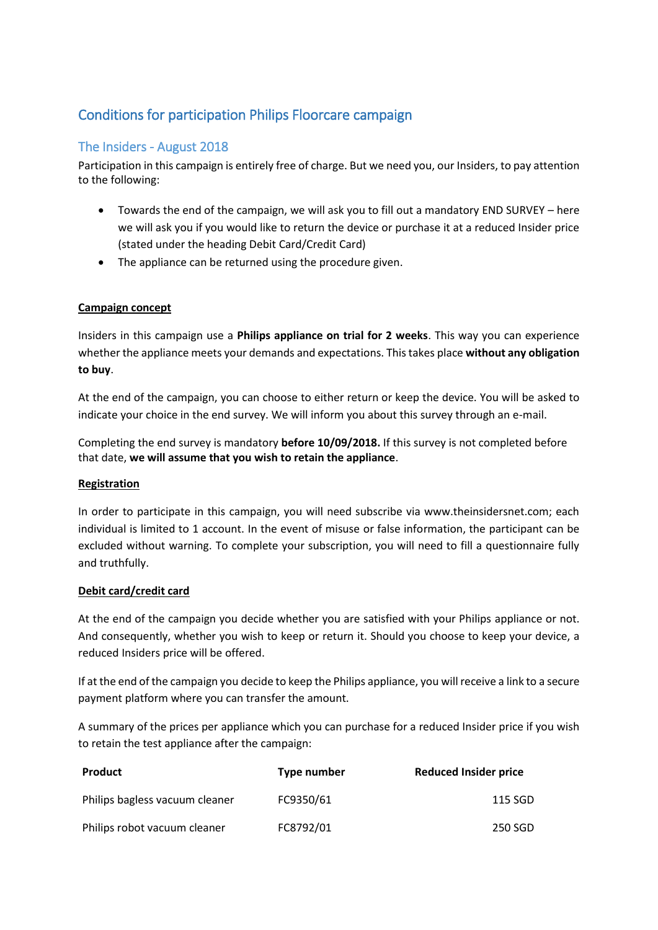# Conditions for participation Philips Floorcare campaign

# The Insiders - August 2018

Participation in this campaign is entirely free of charge. But we need you, our Insiders, to pay attention to the following:

- Towards the end of the campaign, we will ask you to fill out a mandatory END SURVEY here we will ask you if you would like to return the device or purchase it at a reduced Insider price (stated under the heading Debit Card/Credit Card)
- The appliance can be returned using the procedure given.

# **Campaign concept**

Insiders in this campaign use a **Philips appliance on trial for 2 weeks**. This way you can experience whether the appliance meets your demands and expectations. This takes place **without any obligation to buy**.

At the end of the campaign, you can choose to either return or keep the device. You will be asked to indicate your choice in the end survey. We will inform you about this survey through an e-mail.

Completing the end survey is mandatory **before 10/09/2018.** If this survey is not completed before that date, **we will assume that you wish to retain the appliance**.

#### **Registration**

In order to participate in this campaign, you will need subscribe via www.theinsidersnet.com; each individual is limited to 1 account. In the event of misuse or false information, the participant can be excluded without warning. To complete your subscription, you will need to fill a questionnaire fully and truthfully.

#### **Debit card/credit card**

At the end of the campaign you decide whether you are satisfied with your Philips appliance or not. And consequently, whether you wish to keep or return it. Should you choose to keep your device, a reduced Insiders price will be offered.

If at the end of the campaign you decide to keep the Philips appliance, you will receive a link to a secure payment platform where you can transfer the amount.

A summary of the prices per appliance which you can purchase for a reduced Insider price if you wish to retain the test appliance after the campaign:

| Product                        | Type number | <b>Reduced Insider price</b> |
|--------------------------------|-------------|------------------------------|
| Philips bagless vacuum cleaner | FC9350/61   | 115 SGD                      |
| Philips robot vacuum cleaner   | FC8792/01   | 250 SGD                      |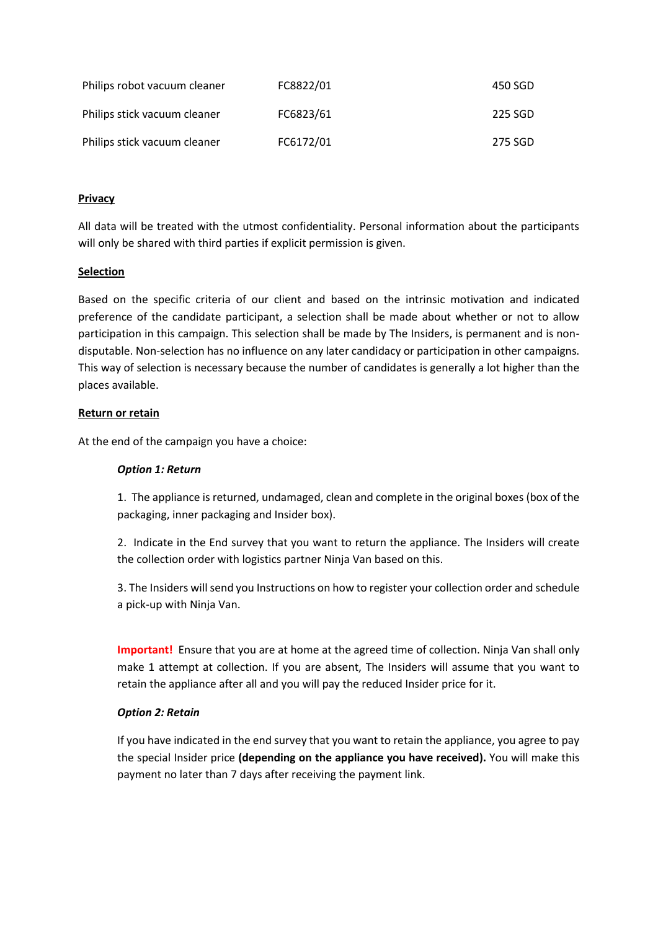| Philips robot vacuum cleaner | FC8822/01 | 450 SGD |
|------------------------------|-----------|---------|
| Philips stick vacuum cleaner | FC6823/61 | 225 SGD |
| Philips stick vacuum cleaner | FC6172/01 | 275 SGD |

## **Privacy**

All data will be treated with the utmost confidentiality. Personal information about the participants will only be shared with third parties if explicit permission is given.

# **Selection**

Based on the specific criteria of our client and based on the intrinsic motivation and indicated preference of the candidate participant, a selection shall be made about whether or not to allow participation in this campaign. This selection shall be made by The Insiders, is permanent and is nondisputable. Non-selection has no influence on any later candidacy or participation in other campaigns. This way of selection is necessary because the number of candidates is generally a lot higher than the places available.

# **Return or retain**

At the end of the campaign you have a choice:

## *Option 1: Return*

1. The appliance is returned, undamaged, clean and complete in the original boxes (box of the packaging, inner packaging and Insider box).

2. Indicate in the End survey that you want to return the appliance. The Insiders will create the collection order with logistics partner Ninja Van based on this.

3. The Insiders will send you Instructions on how to register your collection order and schedule a pick-up with Ninja Van.

**Important!** Ensure that you are at home at the agreed time of collection. Ninja Van shall only make 1 attempt at collection. If you are absent, The Insiders will assume that you want to retain the appliance after all and you will pay the reduced Insider price for it.

#### *Option 2: Retain*

If you have indicated in the end survey that you want to retain the appliance, you agree to pay the special Insider price **(depending on the appliance you have received).** You will make this payment no later than 7 days after receiving the payment link.